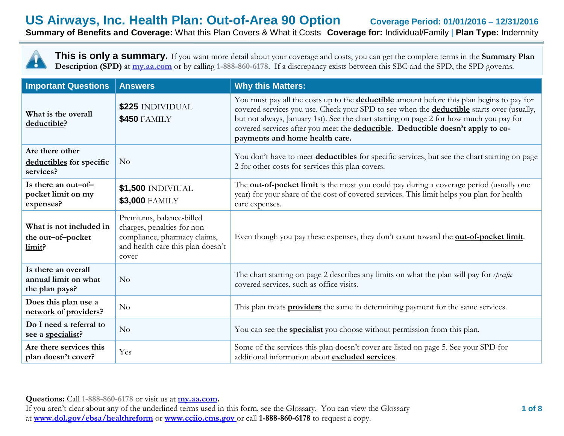# **US Airways, Inc. Health Plan: Out-of-Area 90 Option Coverage Period: 01/01/2016 – 12/31/2016 Summary of Benefits and Coverage:** What this Plan Covers & What it Costs **Coverage for:** Individual/Family | **Plan Type:** Indemnity

**This is only a summary.** If you want more detail about your coverage and costs, you can get the complete terms in the **Summary Plan Description (SPD)** at **my.aa.com** or by calling **1-888-860-6178**. If a discrepancy exists between this SBC and the SPD, the SPD governs.

| <b>Important Questions</b>                                    | <b>Answers</b>                                                                                                                        | <b>Why this Matters:</b>                                                                                                                                                                                                                                                                                                                                                                                             |  |  |
|---------------------------------------------------------------|---------------------------------------------------------------------------------------------------------------------------------------|----------------------------------------------------------------------------------------------------------------------------------------------------------------------------------------------------------------------------------------------------------------------------------------------------------------------------------------------------------------------------------------------------------------------|--|--|
| What is the overall<br>deductible?                            | \$225 INDIVIDUAL<br><b>\$450 FAMILY</b>                                                                                               | You must pay all the costs up to the <b>deductible</b> amount before this plan begins to pay for<br>covered services you use. Check your SPD to see when the <b>deductible</b> starts over (usually,<br>but not always, January 1st). See the chart starting on page 2 for how much you pay for<br>covered services after you meet the deductible. Deductible doesn't apply to co-<br>payments and home health care. |  |  |
| Are there other<br>deductibles for specific<br>services?      | No                                                                                                                                    | You don't have to meet deductibles for specific services, but see the chart starting on page<br>2 for other costs for services this plan covers.                                                                                                                                                                                                                                                                     |  |  |
| Is there an <u>out-of-</u><br>pocket limit on my<br>expenses? | \$1,500 INDIVIUAL<br><b>\$3,000 FAMILY</b>                                                                                            | The <b>out-of-pocket limit</b> is the most you could pay during a coverage period (usually one<br>year) for your share of the cost of covered services. This limit helps you plan for health<br>care expenses.                                                                                                                                                                                                       |  |  |
| What is not included in<br>the out-of-pocket<br>limit?        | Premiums, balance-billed<br>charges, penalties for non-<br>compliance, pharmacy claims,<br>and health care this plan doesn't<br>cover | Even though you pay these expenses, they don't count toward the <b>out-of-pocket limit</b> .                                                                                                                                                                                                                                                                                                                         |  |  |
| Is there an overall<br>annual limit on what<br>the plan pays? | No                                                                                                                                    | The chart starting on page 2 describes any limits on what the plan will pay for <i>specific</i><br>covered services, such as office visits.                                                                                                                                                                                                                                                                          |  |  |
| Does this plan use a<br>network of providers?                 | No                                                                                                                                    | This plan treats <b>providers</b> the same in determining payment for the same services.                                                                                                                                                                                                                                                                                                                             |  |  |
| Do I need a referral to<br>see a specialist?                  | No                                                                                                                                    | You can see the <b>specialist</b> you choose without permission from this plan.                                                                                                                                                                                                                                                                                                                                      |  |  |
| Are there services this<br>plan doesn't cover?                | Yes                                                                                                                                   | Some of the services this plan doesn't cover are listed on page 5. See your SPD for<br>additional information about excluded services.                                                                                                                                                                                                                                                                               |  |  |

**Questions:** Call **1-888-860-6178** or visit us at **my.aa.com.**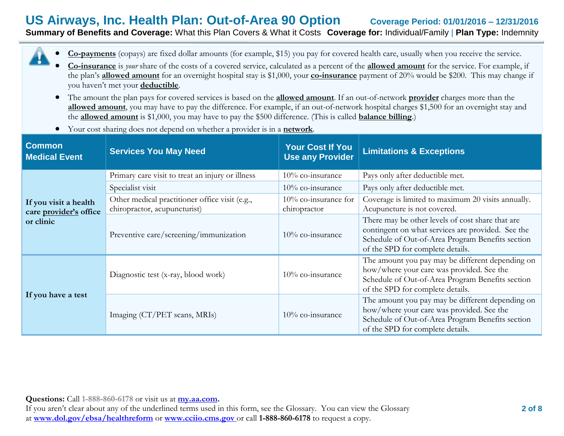# **US Airways, Inc. Health Plan: Out-of-Area 90 Option Coverage Period: 01/01/2016 – 12/31/2016 Summary of Benefits and Coverage:** What this Plan Covers & What it Costs **Coverage for:** Individual/Family | **Plan Type:** Indemnity

| • Co-payments (copays) are fixed dollar amounts (for example, \$15) you pay for covered health care, usually when you receive the service. |  |                                                                                                                                                                                                                                |  |  |  |  |  |  |  |  |
|--------------------------------------------------------------------------------------------------------------------------------------------|--|--------------------------------------------------------------------------------------------------------------------------------------------------------------------------------------------------------------------------------|--|--|--|--|--|--|--|--|
| $\sim$ $\sim$ $\sim$                                                                                                                       |  | المستحيل والمستحيل والمستحيل والمستحيل والمستحيل والمستحيل والمستحيل والمستحيل والمستحيل والمستحيل والمستحيل والمستحيل والمستحيل والمستحيل والمستحيل والمستحيل والمستحيل والمستحيل والمستحيل والمستحيل والمستحيل والمستحيل وال |  |  |  |  |  |  |  |  |

- **Co-insurance** is *your* share of the costs of a covered service, calculated as a percent of the **allowed amount** for the service. For example, if the plan's **allowed amount** for an overnight hospital stay is \$1,000, your **co-insurance** payment of 20% would be \$200. This may change if you haven't met your **deductible**.
- The amount the plan pays for covered services is based on the **allowed amount**. If an out-of-network **provider** charges more than the **allowed amount**, you may have to pay the difference. For example, if an out-of-network hospital charges \$1,500 for an overnight stay and the **allowed amount** is \$1,000, you may have to pay the \$500 difference. (This is called **balance billing**.)
- Your cost sharing does not depend on whether a provider is in a **network**.

| <b>Common</b><br><b>Medical Event</b>           | <b>Services You May Need</b>                                                   | <b>Your Cost If You</b><br><b>Use any Provider</b> | <b>Limitations &amp; Exceptions</b>                                                                                                                                                           |
|-------------------------------------------------|--------------------------------------------------------------------------------|----------------------------------------------------|-----------------------------------------------------------------------------------------------------------------------------------------------------------------------------------------------|
|                                                 | Primary care visit to treat an injury or illness                               | 10% co-insurance                                   | Pays only after deductible met.                                                                                                                                                               |
|                                                 | Specialist visit                                                               | 10% co-insurance                                   | Pays only after deductible met.                                                                                                                                                               |
| If you visit a health<br>care provider's office | Other medical practitioner office visit (e.g.,<br>chiropractor, acupuncturist) | 10% co-insurance for<br>chiropractor               | Coverage is limited to maximum 20 visits annually.<br>Acupuncture is not covered.                                                                                                             |
| or clinic                                       | Preventive care/screening/immunization                                         | 10% co-insurance                                   | There may be other levels of cost share that are<br>contingent on what services are provided. See the<br>Schedule of Out-of-Area Program Benefits section<br>of the SPD for complete details. |
|                                                 | Diagnostic test (x-ray, blood work)                                            | 10% co-insurance                                   | The amount you pay may be different depending on<br>how/where your care was provided. See the<br>Schedule of Out-of-Area Program Benefits section<br>of the SPD for complete details.         |
| If you have a test                              | Imaging (CT/PET scans, MRIs)                                                   | $10\%$ co-insurance                                | The amount you pay may be different depending on<br>how/where your care was provided. See the<br>Schedule of Out-of-Area Program Benefits section<br>of the SPD for complete details.         |

**Questions:** Call **1-888-860-6178** or visit us at **my.aa.com.**

 $\hat{\bm{\theta}}$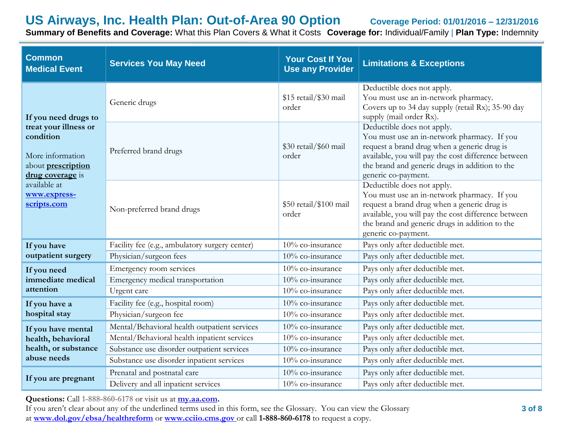# **US Airways, Inc. Health Plan: Out-of-Area 90 Option Coverage Period: 01/01/2016 – 12/31/2016**

**Summary of Benefits and Coverage:** What this Plan Covers & What it Costs **Coverage for:** Individual/Family | **Plan Type:** Indemnity

| <b>Common</b><br><b>Services You May Need</b><br><b>Medical Event</b>                                   |                                                | <b>Your Cost If You</b><br><b>Use any Provider</b> | <b>Limitations &amp; Exceptions</b>                                                                                                                                                                                                                      |
|---------------------------------------------------------------------------------------------------------|------------------------------------------------|----------------------------------------------------|----------------------------------------------------------------------------------------------------------------------------------------------------------------------------------------------------------------------------------------------------------|
| If you need drugs to                                                                                    | Generic drugs                                  | \$15 retail/\$30 mail<br>order                     | Deductible does not apply.<br>You must use an in-network pharmacy.<br>Covers up to 34 day supply (retail Rx); 35-90 day<br>supply (mail order Rx).                                                                                                       |
| treat your illness or<br>condition<br>More information<br>about <b>prescription</b><br>drug coverage is | Preferred brand drugs                          | \$30 retail/\$60 mail<br>order                     | Deductible does not apply.<br>You must use an in-network pharmacy. If you<br>request a brand drug when a generic drug is<br>available, you will pay the cost difference between<br>the brand and generic drugs in addition to the<br>generic co-payment. |
| available at<br>www.express-<br>scripts.com                                                             | Non-preferred brand drugs                      | \$50 retail/\$100 mail<br>order                    | Deductible does not apply.<br>You must use an in-network pharmacy. If you<br>request a brand drug when a generic drug is<br>available, you will pay the cost difference between<br>the brand and generic drugs in addition to the<br>generic co-payment. |
| If you have                                                                                             | Facility fee (e.g., ambulatory surgery center) | 10% co-insurance                                   | Pays only after deductible met.                                                                                                                                                                                                                          |
| outpatient surgery                                                                                      | Physician/surgeon fees                         | 10% co-insurance                                   | Pays only after deductible met.                                                                                                                                                                                                                          |
| If you need                                                                                             | Emergency room services                        | 10% co-insurance                                   | Pays only after deductible met.                                                                                                                                                                                                                          |
| immediate medical                                                                                       | Emergency medical transportation               | 10% co-insurance                                   | Pays only after deductible met.                                                                                                                                                                                                                          |
| attention                                                                                               | Urgent care                                    | 10% co-insurance                                   | Pays only after deductible met.                                                                                                                                                                                                                          |
| If you have a                                                                                           | Facility fee (e.g., hospital room)             | 10% co-insurance                                   | Pays only after deductible met.                                                                                                                                                                                                                          |
| hospital stay                                                                                           | Physician/surgeon fee                          | 10% co-insurance                                   | Pays only after deductible met.                                                                                                                                                                                                                          |
| If you have mental                                                                                      | Mental/Behavioral health outpatient services   | 10% co-insurance                                   | Pays only after deductible met.                                                                                                                                                                                                                          |
| health, behavioral                                                                                      | Mental/Behavioral health inpatient services    | 10% co-insurance                                   | Pays only after deductible met.                                                                                                                                                                                                                          |
| health, or substance                                                                                    | Substance use disorder outpatient services     | 10% co-insurance                                   | Pays only after deductible met.                                                                                                                                                                                                                          |
| abuse needs                                                                                             | Substance use disorder inpatient services      | 10% co-insurance                                   | Pays only after deductible met.                                                                                                                                                                                                                          |
| If you are pregnant                                                                                     | Prenatal and postnatal care                    | 10% co-insurance                                   | Pays only after deductible met.                                                                                                                                                                                                                          |
|                                                                                                         | Delivery and all inpatient services            | 10% co-insurance                                   | Pays only after deductible met.                                                                                                                                                                                                                          |

**Questions:** Call **1-888-860-6178** or visit us at **my.aa.com.**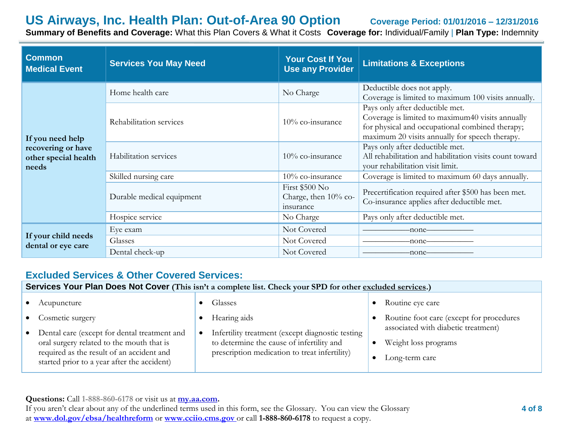# **US Airways, Inc. Health Plan: Out-of-Area 90 Option Coverage Period: 01/01/2016 – 12/31/2016**

**Summary of Benefits and Coverage:** What this Plan Covers & What it Costs **Coverage for:** Individual/Family | **Plan Type:** Indemnity

| <b>Common</b><br><b>Medical Event</b>               | <b>Services You May Need</b> | <b>Your Cost If You</b><br><b>Use any Provider</b>  | <b>Limitations &amp; Exceptions</b>                                                                                                                                                      |
|-----------------------------------------------------|------------------------------|-----------------------------------------------------|------------------------------------------------------------------------------------------------------------------------------------------------------------------------------------------|
|                                                     | Home health care             | No Charge                                           | Deductible does not apply.<br>Coverage is limited to maximum 100 visits annually.                                                                                                        |
| If you need help                                    | Rehabilitation services      | 10% co-insurance                                    | Pays only after deductible met.<br>Coverage is limited to maximum40 visits annually<br>for physical and occupational combined therapy;<br>maximum 20 visits annually for speech therapy. |
| recovering or have<br>other special health<br>needs | Habilitation services        | 10% co-insurance                                    | Pays only after deductible met.<br>All rehabilitation and habilitation visits count toward<br>your rehabilitation visit limit.                                                           |
|                                                     | Skilled nursing care         | 10% co-insurance                                    | Coverage is limited to maximum 60 days annually.                                                                                                                                         |
|                                                     | Durable medical equipment    | First \$500 No<br>Charge, then 10% co-<br>insurance | Precertification required after \$500 has been met.<br>Co-insurance applies after deductible met.                                                                                        |
|                                                     | Hospice service              | No Charge                                           | Pays only after deductible met.                                                                                                                                                          |
|                                                     | Eye exam                     | Not Covered                                         | -none-                                                                                                                                                                                   |
| If your child needs<br>dental or eye care           | Glasses                      | Not Covered                                         | -none-                                                                                                                                                                                   |
|                                                     | Dental check-up              | Not Covered                                         | -none-                                                                                                                                                                                   |

# **Excluded Services & Other Covered Services:**

**Services Your Plan Does Not Cover** (This isn't a complete list. Check your SPD for other excluded services.)

| Acupuncture                                                                                                                                                                           | Glasses                                                                                                                                        | Routine eye care                                                              |
|---------------------------------------------------------------------------------------------------------------------------------------------------------------------------------------|------------------------------------------------------------------------------------------------------------------------------------------------|-------------------------------------------------------------------------------|
| Cosmetic surgery                                                                                                                                                                      | Hearing aids                                                                                                                                   | Routine foot care (except for procedures                                      |
| Dental care (except for dental treatment and<br>oral surgery related to the mouth that is<br>required as the result of an accident and<br>started prior to a year after the accident) | Infertility treatment (except diagnostic testing<br>to determine the cause of infertility and<br>prescription medication to treat infertility) | associated with diabetic treatment)<br>Weight loss programs<br>Long-term care |

**Questions:** Call **1-888-860-6178** or visit us at **my.aa.com.**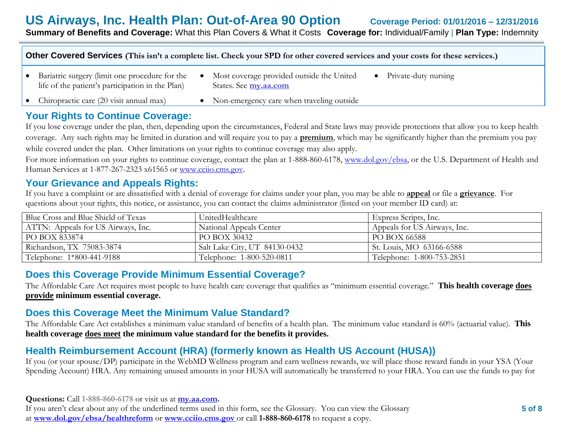**Other Covered Services (This isn't a complete list. Check your SPD for other covered services and your costs for these services.)**

- Bariatric surgery (limit one procedure for the life of the patient's participation in the Plan)
- Most coverage provided outside the United States. See **my.aa.com**
	- Private-duty nursing

- Chiropractic care (20 visit annual max)
- Non-emergency care when traveling outside

# **Your Rights to Continue Coverage:**

If you lose coverage under the plan, then, depending upon the circumstances, Federal and State laws may provide protections that allow you to keep health coverage. Any such rights may be limited in duration and will require you to pay a **premium**, which may be significantly higher than the premium you pay while covered under the plan. Other limitations on your rights to continue coverage may also apply.

For more information on your rights to continue coverage, contact the plan at 1-888-860-6178, www.dol.gov/ebsa, or the U.S. Department of Health and Human Services at 1-877-267-2323 x61565 or www.cciio.cms.gov.

## **Your Grievance and Appeals Rights:**

If you have a complaint or are dissatisfied with a denial of coverage for claims under your plan, you may be able to **appeal** or file a **grievance**. For questions about your rights, this notice, or assistance, you can contact the claims administrator (listed on your member ID card) at:

| Blue Cross and Blue Shield of Texas | UnitedHealthcare              | Express Scripts, Inc.        |
|-------------------------------------|-------------------------------|------------------------------|
| ATTN: Appeals for US Airways, Inc.  | National Appeals Center       | Appeals for US Airways, Inc. |
| PO BOX 833874                       | PO BOX 30432                  | PO BOX 66588                 |
| Richardson, TX 75083-3874           | Salt Lake City, UT 84130-0432 | St. Louis, MO 63166-6588     |
| Telephone: 1*800-441-9188           | Telephone: 1-800-520-0811     | Telephone: 1-800-753-2851    |

# **Does this Coverage Provide Minimum Essential Coverage?**

The Affordable Care Act requires most people to have health care coverage that qualifies as "minimum essential coverage." **This health coverage does provide minimum essential coverage.**

# **Does this Coverage Meet the Minimum Value Standard?**

The Affordable Care Act establishes a minimum value standard of benefits of a health plan. The minimum value standard is 60% (actuarial value). **This health coverage does meet the minimum value standard for the benefits it provides.**

# **Health Reimbursement Account (HRA) (formerly known as Health US Account (HUSA))**

If you (or your spouse/DP) participate in the WebMD Wellness program and earn wellness rewards, we will place those reward funds in your YSA (Your Spending Account) HRA. Any remaining unused amounts in your HUSA will automatically be transferred to your HRA. You can use the funds to pay for

**Questions:** Call **1-888-860-6178** or visit us at **my.aa.com.**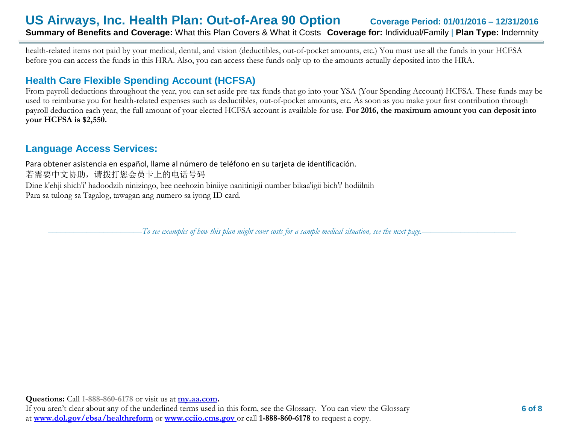health-related items not paid by your medical, dental, and vision (deductibles, out-of-pocket amounts, etc.) You must use all the funds in your HCFSA before you can access the funds in this HRA. Also, you can access these funds only up to the amounts actually deposited into the HRA.

# **Health Care Flexible Spending Account (HCFSA)**

From payroll deductions throughout the year, you can set aside pre-tax funds that go into your YSA (Your Spending Account) HCFSA. These funds may be used to reimburse you for health-related expenses such as deductibles, out-of-pocket amounts, etc. As soon as you make your first contribution through payroll deduction each year, the full amount of your elected HCFSA account is available for use. **For 2016, the maximum amount you can deposit into your HCFSA is \$2,550.** 

# **Language Access Services:**

Para obtener asistencia en español, llame al número de teléfono en su tarjeta de identificación. 若需要中文协助,请拨打您会员卡上的电话号码 Dine k'ehji shich'i' hadoodzih ninizingo, bee neehozin biniiye nanitinigii number bikaa'igii bich'i' hodiilnih Para sa tulong sa Tagalog, tawagan ang numero sa iyong ID card.

––––––––––––––––––––––*To see examples of how this plan might cover costs for a sample medical situation, see the next page.–––––––––––*–––––––––––

**Questions:** Call **1-888-860-6178** or visit us at **my.aa.com.**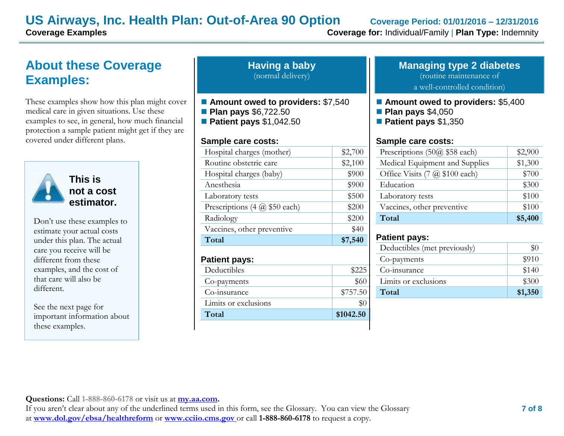# **US Airways, Inc. Health Plan: Out-of-Area 90 Option Coverage Period: 01/01/2016 – 12/31/2016**

# **About these Coverage Examples:**

These examples show how this plan might cover medical care in given situations. Use these examples to see, in general, how much financial protection a sample patient might get if they are covered under different plans.



**This is not a cost estimator.** 

Don't use these examples to estimate your actual costs under this plan. The actual care you receive will be different from these examples, and the cost of that care will also be different.

See the next page for important information about these examples.

| <b>Having a baby</b> |  |
|----------------------|--|
| (normal delivery)    |  |

- Amount owed to providers: \$7,540
- **Plan pays** \$6,722.50
- **Patient pays** \$1,042.50

### **Sample care costs:**

| Total                         | \$7,540 |
|-------------------------------|---------|
| Vaccines, other preventive    | \$40    |
| Radiology                     | \$200   |
| Prescriptions (4 @ \$50 each) | \$200   |
| Laboratory tests              | \$500   |
| Anesthesia                    | \$900   |
| Hospital charges (baby)       | \$900   |
| Routine obstetric care        | \$2,100 |
| Hospital charges (mother)     | \$2,700 |
|                               |         |

### **Patient pays:**

| Total                | \$1042.50 |
|----------------------|-----------|
| Limits or exclusions | \$0       |
| Co-insurance         | \$757.50  |
| Co-payments          | \$60      |
| Deductibles          | \$225     |
|                      |           |

#### **Managing type 2 diabetes** (routine maintenance of

a well-controlled condition)

- **Amount owed to providers: \$5,400**
- **Plan pays** \$4,050
- **Patient pays** \$1,350

### **Sample care costs:**

| Prescriptions $(50@$ \$58 each)              | \$2,900 |
|----------------------------------------------|---------|
| Medical Equipment and Supplies               | \$1,300 |
| Office Visits $(7 \omega \text{ $100 each})$ | \$700   |
| Education                                    | \$300   |
| Laboratory tests                             | \$100   |
| Vaccines, other preventive                   | \$100   |
| Total                                        | \$5,400 |

### **Patient pays:**

| Deductibles (met previously) |         |
|------------------------------|---------|
| Co-payments                  | \$910   |
| Co-insurance                 | \$140   |
| Limits or exclusions         | \$300   |
| Total                        | \$1,350 |

**Questions:** Call **1-888-860-6178** or visit us at **my.aa.com.**